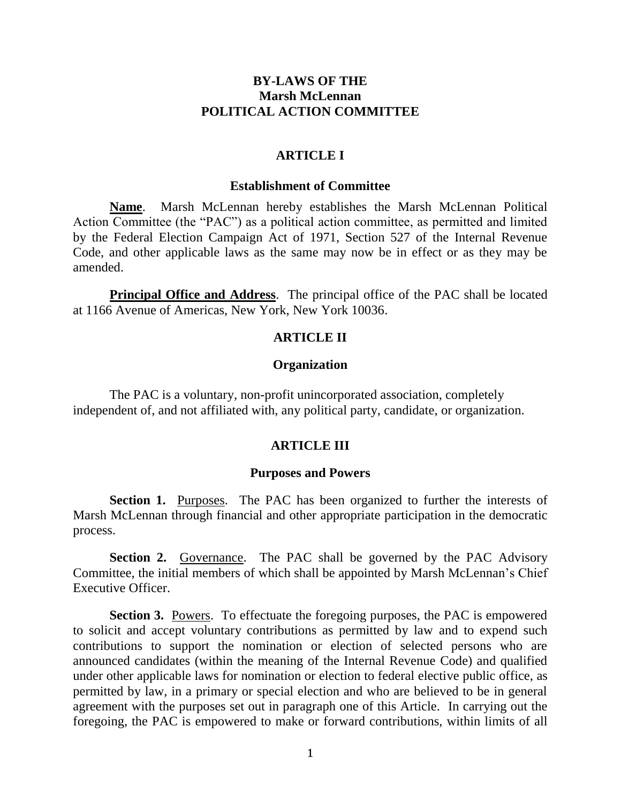# **BY-LAWS OF THE Marsh McLennan POLITICAL ACTION COMMITTEE**

# **ARTICLE I**

### **Establishment of Committee**

**Name**. Marsh McLennan hereby establishes the Marsh McLennan Political Action Committee (the "PAC") as a political action committee, as permitted and limited by the Federal Election Campaign Act of 1971, Section 527 of the Internal Revenue Code, and other applicable laws as the same may now be in effect or as they may be amended.

**Principal Office and Address**. The principal office of the PAC shall be located at 1166 Avenue of Americas, New York, New York 10036.

## **ARTICLE II**

### **Organization**

The PAC is a voluntary, non-profit unincorporated association, completely independent of, and not affiliated with, any political party, candidate, or organization.

### **ARTICLE III**

#### **Purposes and Powers**

**Section 1.** Purposes. The PAC has been organized to further the interests of Marsh McLennan through financial and other appropriate participation in the democratic process.

**Section 2.** Governance. The PAC shall be governed by the PAC Advisory Committee, the initial members of which shall be appointed by Marsh McLennan's Chief Executive Officer.

**Section 3.** Powers. To effectuate the foregoing purposes, the PAC is empowered to solicit and accept voluntary contributions as permitted by law and to expend such contributions to support the nomination or election of selected persons who are announced candidates (within the meaning of the Internal Revenue Code) and qualified under other applicable laws for nomination or election to federal elective public office, as permitted by law, in a primary or special election and who are believed to be in general agreement with the purposes set out in paragraph one of this Article. In carrying out the foregoing, the PAC is empowered to make or forward contributions, within limits of all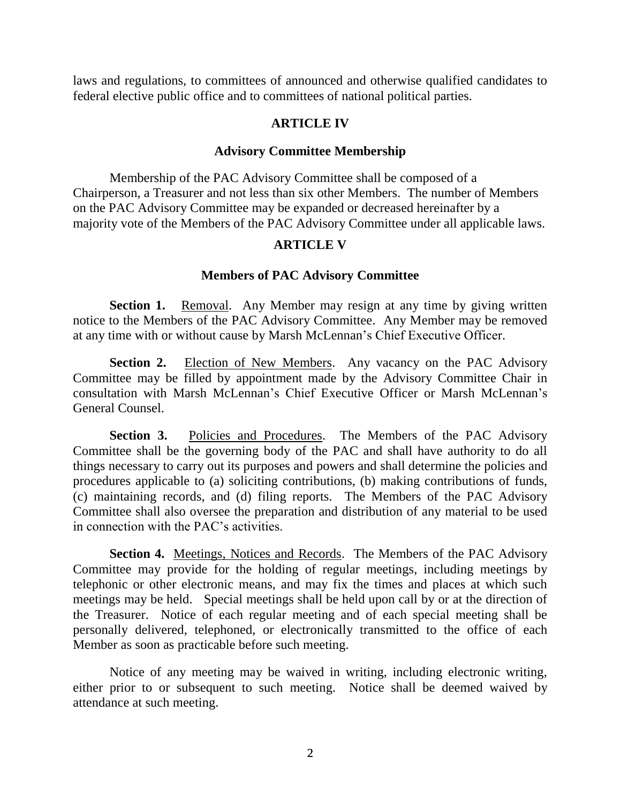laws and regulations, to committees of announced and otherwise qualified candidates to federal elective public office and to committees of national political parties.

# **ARTICLE IV**

## **Advisory Committee Membership**

Membership of the PAC Advisory Committee shall be composed of a Chairperson, a Treasurer and not less than six other Members. The number of Members on the PAC Advisory Committee may be expanded or decreased hereinafter by a majority vote of the Members of the PAC Advisory Committee under all applicable laws.

# **ARTICLE V**

# **Members of PAC Advisory Committee**

**Section 1.** Removal. Any Member may resign at any time by giving written notice to the Members of the PAC Advisory Committee. Any Member may be removed at any time with or without cause by Marsh McLennan's Chief Executive Officer.

**Section 2.** Election of New Members. Any vacancy on the PAC Advisory Committee may be filled by appointment made by the Advisory Committee Chair in consultation with Marsh McLennan's Chief Executive Officer or Marsh McLennan's General Counsel.

**Section 3.** Policies and Procedures. The Members of the PAC Advisory Committee shall be the governing body of the PAC and shall have authority to do all things necessary to carry out its purposes and powers and shall determine the policies and procedures applicable to (a) soliciting contributions, (b) making contributions of funds, (c) maintaining records, and (d) filing reports. The Members of the PAC Advisory Committee shall also oversee the preparation and distribution of any material to be used in connection with the PAC's activities.

**Section 4.** Meetings, Notices and Records. The Members of the PAC Advisory Committee may provide for the holding of regular meetings, including meetings by telephonic or other electronic means, and may fix the times and places at which such meetings may be held. Special meetings shall be held upon call by or at the direction of the Treasurer. Notice of each regular meeting and of each special meeting shall be personally delivered, telephoned, or electronically transmitted to the office of each Member as soon as practicable before such meeting.

Notice of any meeting may be waived in writing, including electronic writing, either prior to or subsequent to such meeting. Notice shall be deemed waived by attendance at such meeting.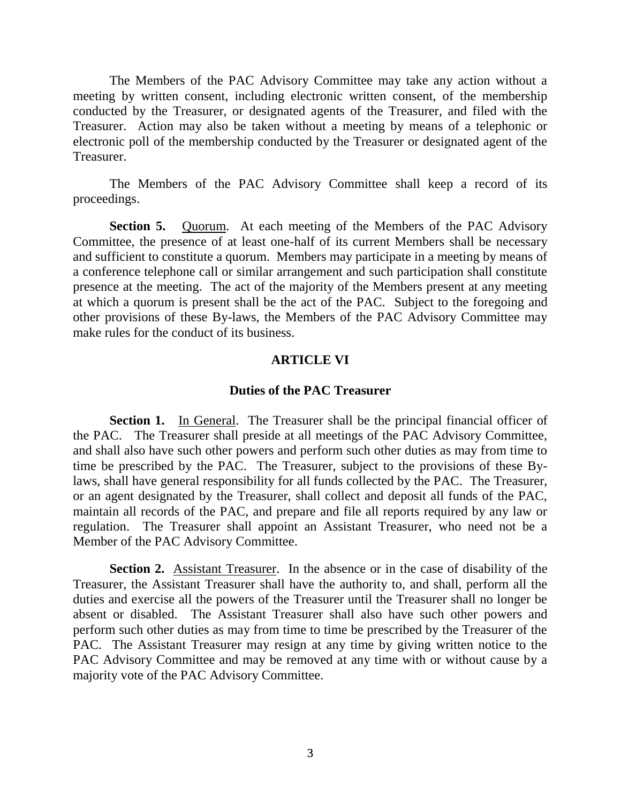The Members of the PAC Advisory Committee may take any action without a meeting by written consent, including electronic written consent, of the membership conducted by the Treasurer, or designated agents of the Treasurer, and filed with the Treasurer. Action may also be taken without a meeting by means of a telephonic or electronic poll of the membership conducted by the Treasurer or designated agent of the Treasurer.

The Members of the PAC Advisory Committee shall keep a record of its proceedings.

**Section 5.** Quorum. At each meeting of the Members of the PAC Advisory Committee, the presence of at least one-half of its current Members shall be necessary and sufficient to constitute a quorum. Members may participate in a meeting by means of a conference telephone call or similar arrangement and such participation shall constitute presence at the meeting. The act of the majority of the Members present at any meeting at which a quorum is present shall be the act of the PAC. Subject to the foregoing and other provisions of these By-laws, the Members of the PAC Advisory Committee may make rules for the conduct of its business.

## **ARTICLE VI**

### **Duties of the PAC Treasurer**

**Section 1.** In General. The Treasurer shall be the principal financial officer of the PAC. The Treasurer shall preside at all meetings of the PAC Advisory Committee, and shall also have such other powers and perform such other duties as may from time to time be prescribed by the PAC. The Treasurer, subject to the provisions of these Bylaws, shall have general responsibility for all funds collected by the PAC. The Treasurer, or an agent designated by the Treasurer, shall collect and deposit all funds of the PAC, maintain all records of the PAC, and prepare and file all reports required by any law or regulation. The Treasurer shall appoint an Assistant Treasurer, who need not be a Member of the PAC Advisory Committee.

**Section 2.** Assistant Treasurer. In the absence or in the case of disability of the Treasurer, the Assistant Treasurer shall have the authority to, and shall, perform all the duties and exercise all the powers of the Treasurer until the Treasurer shall no longer be absent or disabled. The Assistant Treasurer shall also have such other powers and perform such other duties as may from time to time be prescribed by the Treasurer of the PAC. The Assistant Treasurer may resign at any time by giving written notice to the PAC Advisory Committee and may be removed at any time with or without cause by a majority vote of the PAC Advisory Committee.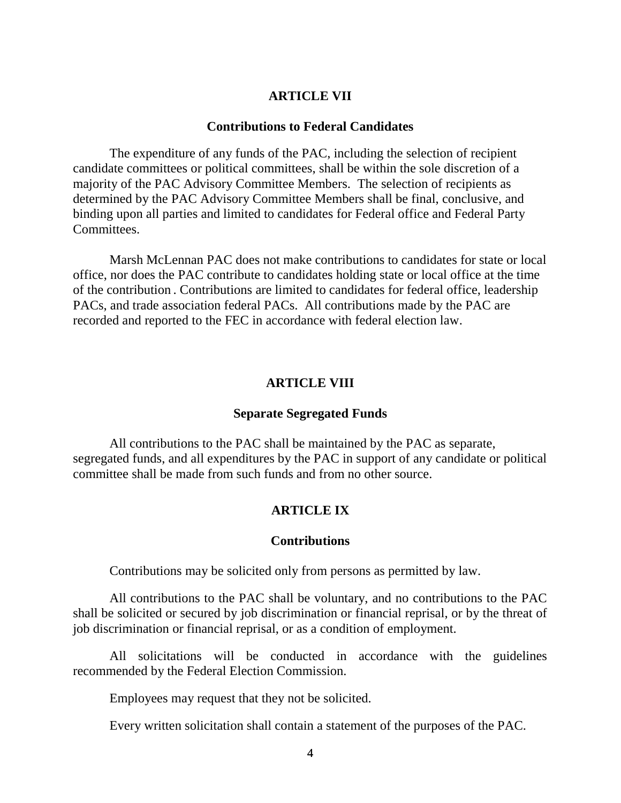## **ARTICLE VII**

#### **Contributions to Federal Candidates**

The expenditure of any funds of the PAC, including the selection of recipient candidate committees or political committees, shall be within the sole discretion of a majority of the PAC Advisory Committee Members. The selection of recipients as determined by the PAC Advisory Committee Members shall be final, conclusive, and binding upon all parties and limited to candidates for Federal office and Federal Party Committees.

Marsh McLennan PAC does not make contributions to candidates for state or local office, nor does the PAC contribute to candidates holding state or local office at the time of the contribution . Contributions are limited to candidates for federal office, leadership PACs, and trade association federal PACs. All contributions made by the PAC are recorded and reported to the FEC in accordance with federal election law.

#### **ARTICLE VIII**

#### **Separate Segregated Funds**

All contributions to the PAC shall be maintained by the PAC as separate, segregated funds, and all expenditures by the PAC in support of any candidate or political committee shall be made from such funds and from no other source.

## **ARTICLE IX**

#### **Contributions**

Contributions may be solicited only from persons as permitted by law.

All contributions to the PAC shall be voluntary, and no contributions to the PAC shall be solicited or secured by job discrimination or financial reprisal, or by the threat of job discrimination or financial reprisal, or as a condition of employment.

All solicitations will be conducted in accordance with the guidelines recommended by the Federal Election Commission.

Employees may request that they not be solicited.

Every written solicitation shall contain a statement of the purposes of the PAC.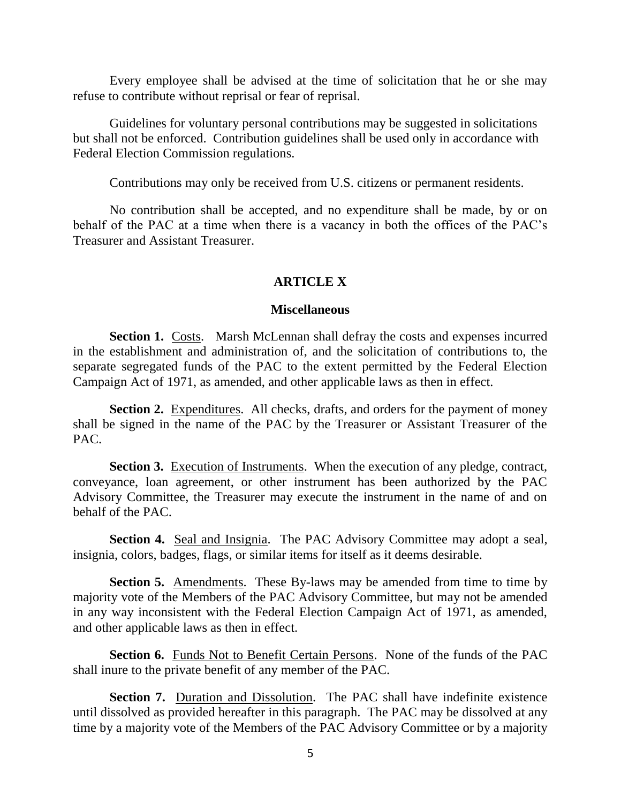Every employee shall be advised at the time of solicitation that he or she may refuse to contribute without reprisal or fear of reprisal.

Guidelines for voluntary personal contributions may be suggested in solicitations but shall not be enforced. Contribution guidelines shall be used only in accordance with Federal Election Commission regulations.

Contributions may only be received from U.S. citizens or permanent residents.

No contribution shall be accepted, and no expenditure shall be made, by or on behalf of the PAC at a time when there is a vacancy in both the offices of the PAC's Treasurer and Assistant Treasurer.

## **ARTICLE X**

#### **Miscellaneous**

**Section 1.** Costs. Marsh McLennan shall defray the costs and expenses incurred in the establishment and administration of, and the solicitation of contributions to, the separate segregated funds of the PAC to the extent permitted by the Federal Election Campaign Act of 1971, as amended, and other applicable laws as then in effect.

**Section 2.** Expenditures. All checks, drafts, and orders for the payment of money shall be signed in the name of the PAC by the Treasurer or Assistant Treasurer of the PAC.

**Section 3.** Execution of Instruments. When the execution of any pledge, contract, conveyance, loan agreement, or other instrument has been authorized by the PAC Advisory Committee, the Treasurer may execute the instrument in the name of and on behalf of the PAC.

**Section 4.** Seal and Insignia. The PAC Advisory Committee may adopt a seal, insignia, colors, badges, flags, or similar items for itself as it deems desirable.

**Section 5.** Amendments. These By-laws may be amended from time to time by majority vote of the Members of the PAC Advisory Committee, but may not be amended in any way inconsistent with the Federal Election Campaign Act of 1971, as amended, and other applicable laws as then in effect.

**Section 6.** Funds Not to Benefit Certain Persons. None of the funds of the PAC shall inure to the private benefit of any member of the PAC.

**Section 7.** Duration and Dissolution. The PAC shall have indefinite existence until dissolved as provided hereafter in this paragraph. The PAC may be dissolved at any time by a majority vote of the Members of the PAC Advisory Committee or by a majority